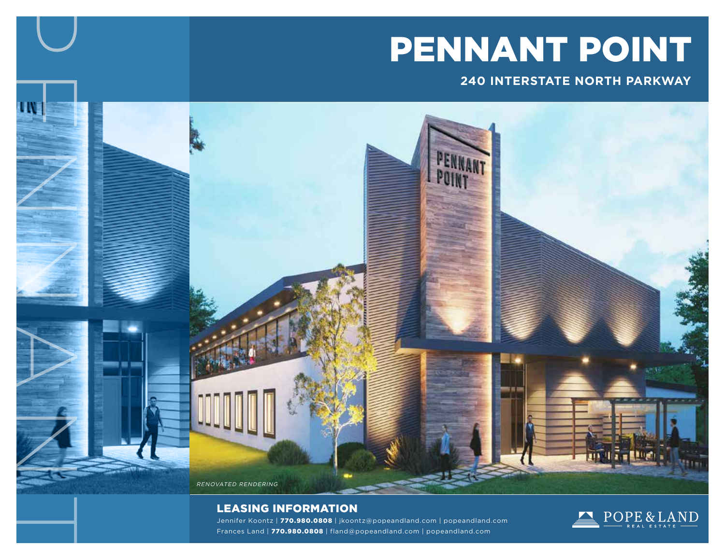# PENNANT POINT

### **240 INTERSTATE NORTH PARKWAY**

ENT **CONT**  $\bigg)$ N $\sum$  $\sqrt{4}$ RENOVATED RENDERING

### LEASING INFORMATION

**P** 

T

Jennifer Koontz | 770.980.0808 | jkoontz@popeandland.com | popeandland.com Frances Land | 770.980.0808 | fland@popeandland.com | popeandland.com

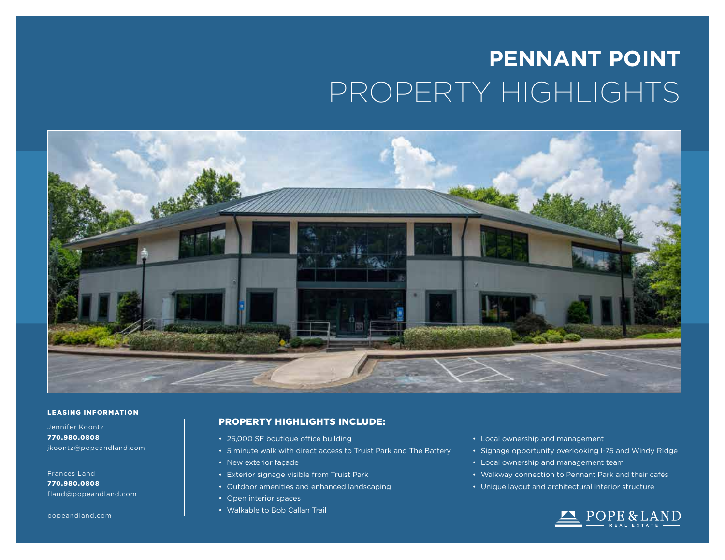# **PENNANT POINT** PROPERTY HIGHLIGHTS



#### LEASING INFORMATION

Jennifer Koontz 770.980.0808 jkoontz@popeandland.com

### Frances Land

770.980.0808 fland@popeandland.com

popeandland.com

### PROPERTY HIGHLIGHTS INCLUDE:

- 25,000 SF boutique office building
- 5 minute walk with direct access to Truist Park and The Battery
- New exterior façade
- Exterior signage visible from Truist Park
- Outdoor amenities and enhanced landscaping
- Open interior spaces
- Walkable to Bob Callan Trail
- Local ownership and management
- Signage opportunity overlooking I-75 and Windy Ridge
- Local ownership and management team
- Walkway connection to Pennant Park and their cafés
- Unique layout and architectural interior structure

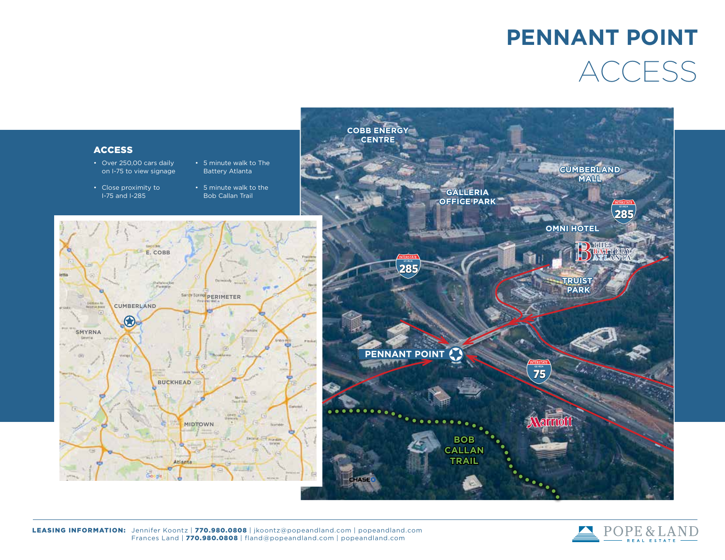### **PENNANT POINT** ACCESS



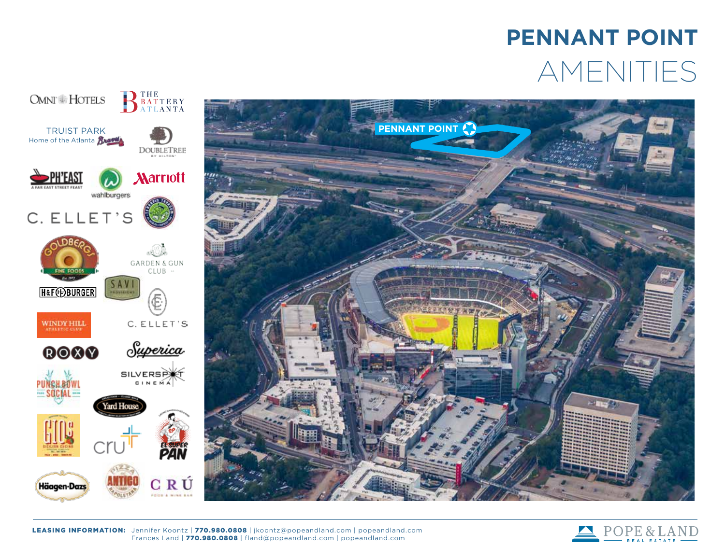## **PENNANT POINT** AMENITIES





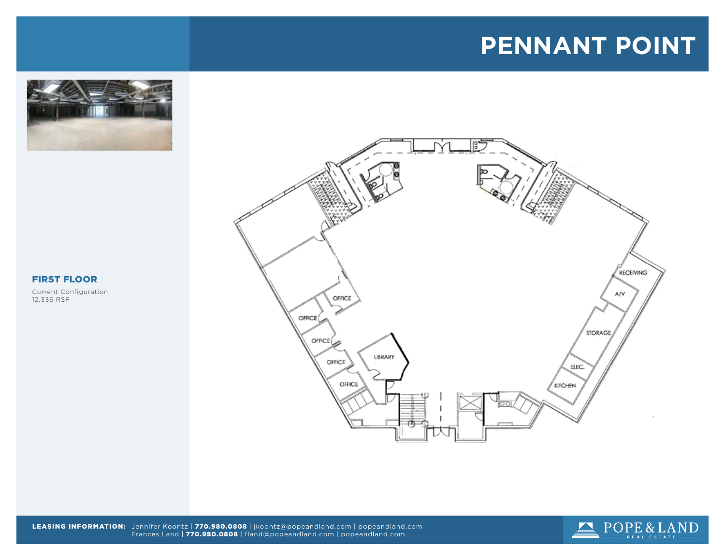### **PENNANT POINT**





### FIRST FLOOR

Current Configuration 12,336 RSF



LEASING INFORMATION: Jennifer Koontz | 770.980.0808 | jkoontz@popeandland.com | popeandland.com Frances Land | 770.980.0808 | fland@popeandland.com | popeandland.com